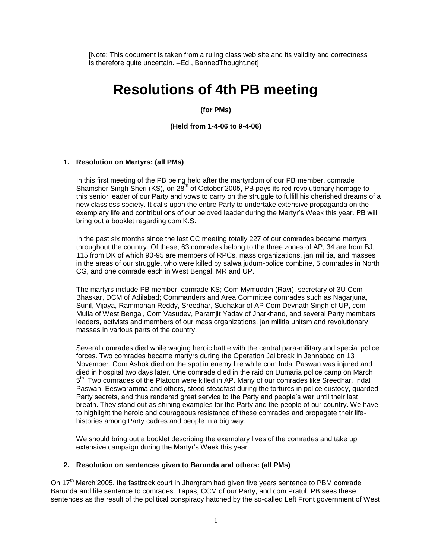[Note: This document is taken from a ruling class web site and its validity and correctness is therefore quite uncertain. –Ed., BannedThought.net]

# **Resolutions of 4th PB meeting**

**(for PMs)** 

**(Held from 1-4-06 to 9-4-06)**

#### **1. Resolution on Martyrs: (all PMs)**

In this first meeting of the PB being held after the martyrdom of our PB member, comrade Shamsher Singh Sheri (KS), on 28<sup>th</sup> of October' 2005, PB pays its red revolutionary homage to this senior leader of our Party and vows to carry on the struggle to fulfill his cherished dreams of a new classless society. It calls upon the entire Party to undertake extensive propaganda on the exemplary life and contributions of our beloved leader during the Martyr's Week this year. PB will bring out a booklet regarding com K.S.

In the past six months since the last CC meeting totally 227 of our comrades became martyrs throughout the country. Of these, 63 comrades belong to the three zones of AP, 34 are from BJ, 115 from DK of which 90-95 are members of RPCs, mass organizations, jan militia, and masses in the areas of our struggle, who were killed by salwa judum-police combine, 5 comrades in North CG, and one comrade each in West Bengal, MR and UP.

The martyrs include PB member, comrade KS; Com Mymuddin (Ravi), secretary of 3U Com Bhaskar, DCM of Adilabad; Commanders and Area Committee comrades such as Nagarjuna, Sunil, Vijaya, Rammohan Reddy, Sreedhar, Sudhakar of AP Com Devnath Singh of UP, com Mulla of West Bengal, Com Vasudev, Paramjit Yadav of Jharkhand, and several Party members, leaders, activists and members of our mass organizations, jan militia unitsm and revolutionary masses in various parts of the country.

Several comrades died while waging heroic battle with the central para-military and special police forces. Two comrades became martyrs during the Operation Jailbreak in Jehnabad on 13 November. Com Ashok died on the spot in enemy fire while com Indal Paswan was injured and died in hospital two days later. One comrade died in the raid on Dumaria police camp on March 5<sup>th</sup>. Two comrades of the Platoon were killed in AP. Many of our comrades like Sreedhar, Indal Paswan, Eeswaramma and others, stood steadfast during the tortures in police custody, guarded Party secrets, and thus rendered great service to the Party and people's war until their last breath. They stand out as shining examples for the Party and the people of our country. We have to highlight the heroic and courageous resistance of these comrades and propagate their lifehistories among Party cadres and people in a big way.

We should bring out a booklet describing the exemplary lives of the comrades and take up extensive campaign during the Martyr's Week this year.

#### **2. Resolution on sentences given to Barunda and others: (all PMs)**

On  $17<sup>th</sup>$  March'2005, the fasttrack court in Jhargram had given five years sentence to PBM comrade Barunda and life sentence to comrades. Tapas, CCM of our Party, and com Pratul. PB sees these sentences as the result of the political conspiracy hatched by the so-called Left Front government of West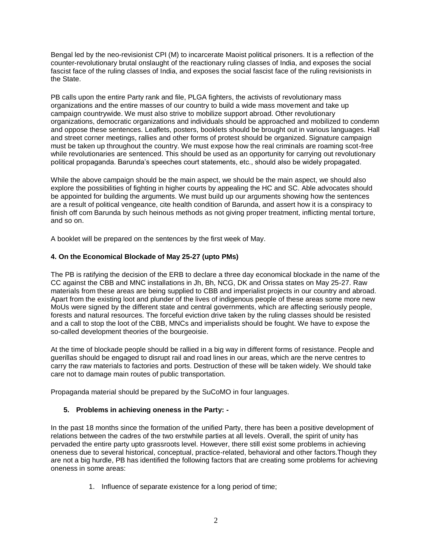Bengal led by the neo-revisionist CPI (M) to incarcerate Maoist political prisoners. It is a reflection of the counter-revolutionary brutal onslaught of the reactionary ruling classes of India, and exposes the social fascist face of the ruling classes of India, and exposes the social fascist face of the ruling revisionists in the State.

PB calls upon the entire Party rank and file, PLGA fighters, the activists of revolutionary mass organizations and the entire masses of our country to build a wide mass movement and take up campaign countrywide. We must also strive to mobilize support abroad. Other revolutionary organizations, democratic organizations and individuals should be approached and mobilized to condemn and oppose these sentences. Leaflets, posters, booklets should be brought out in various languages. Hall and street corner meetings, rallies and other forms of protest should be organized. Signature campaign must be taken up throughout the country. We must expose how the real criminals are roaming scot-free while revolutionaries are sentenced. This should be used as an opportunity for carrying out revolutionary political propaganda. Barunda's speeches court statements, etc., should also be widely propagated.

While the above campaign should be the main aspect, we should be the main aspect, we should also explore the possibilities of fighting in higher courts by appealing the HC and SC. Able advocates should be appointed for building the arguments. We must build up our arguments showing how the sentences are a result of political vengeance, cite health condition of Barunda, and assert how it is a conspiracy to finish off com Barunda by such heinous methods as not giving proper treatment, inflicting mental torture, and so on.

A booklet will be prepared on the sentences by the first week of May.

## **4. On the Economical Blockade of May 25-27 (upto PMs)**

The PB is ratifying the decision of the ERB to declare a three day economical blockade in the name of the CC against the CBB and MNC installations in Jh, Bh, NCG, DK and Orissa states on May 25-27. Raw materials from these areas are being supplied to CBB and imperialist projects in our country and abroad. Apart from the existing loot and plunder of the lives of indigenous people of these areas some more new MoUs were signed by the different state and central governments, which are affecting seriously people, forests and natural resources. The forceful eviction drive taken by the ruling classes should be resisted and a call to stop the loot of the CBB, MNCs and imperialists should be fought. We have to expose the so-called development theories of the bourgeoisie.

At the time of blockade people should be rallied in a big way in different forms of resistance. People and guerillas should be engaged to disrupt rail and road lines in our areas, which are the nerve centres to carry the raw materials to factories and ports. Destruction of these will be taken widely. We should take care not to damage main routes of public transportation.

Propaganda material should be prepared by the SuCoMO in four languages.

## **5. Problems in achieving oneness in the Party: -**

In the past 18 months since the formation of the unified Party, there has been a positive development of relations between the cadres of the two erstwhile parties at all levels. Overall, the spirit of unity has pervaded the entire party upto grassroots level. However, there still exist some problems in achieving oneness due to several historical, conceptual, practice-related, behavioral and other factors.Though they are not a big hurdle, PB has identified the following factors that are creating some problems for achieving oneness in some areas:

1. Influence of separate existence for a long period of time;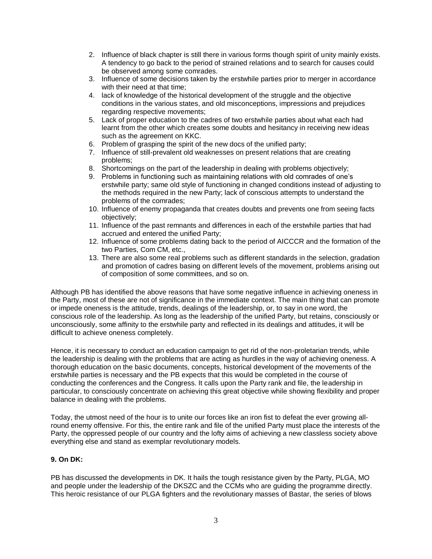- 2. Influence of black chapter is still there in various forms though spirit of unity mainly exists. A tendency to go back to the period of strained relations and to search for causes could be observed among some comrades.
- 3. Influence of some decisions taken by the erstwhile parties prior to merger in accordance with their need at that time;
- 4. lack of knowledge of the historical development of the struggle and the objective conditions in the various states, and old misconceptions, impressions and prejudices regarding respective movements;
- 5. Lack of proper education to the cadres of two erstwhile parties about what each had learnt from the other which creates some doubts and hesitancy in receiving new ideas such as the agreement on KKC.
- 6. Problem of grasping the spirit of the new docs of the unified party;
- 7. Influence of still-prevalent old weaknesses on present relations that are creating problems;
- 8. Shortcomings on the part of the leadership in dealing with problems objectively;
- 9. Problems in functioning such as maintaining relations with old comrades of one's erstwhile party; same old style of functioning in changed conditions instead of adjusting to the methods required in the new Party; lack of conscious attempts to understand the problems of the comrades;
- 10. Influence of enemy propaganda that creates doubts and prevents one from seeing facts objectively;
- 11. Influence of the past remnants and differences in each of the erstwhile parties that had accrued and entered the unified Party;
- 12. Influence of some problems dating back to the period of AICCCR and the formation of the two Parties, Com CM, etc.,
- 13. There are also some real problems such as different standards in the selection, gradation and promotion of cadres basing on different levels of the movement, problems arising out of composition of some committees, and so on.

Although PB has identified the above reasons that have some negative influence in achieving oneness in the Party, most of these are not of significance in the immediate context. The main thing that can promote or impede oneness is the attitude, trends, dealings of the leadership, or, to say in one word, the conscious role of the leadership. As long as the leadership of the unified Party, but retains, consciously or unconsciously, some affinity to the erstwhile party and reflected in its dealings and attitudes, it will be difficult to achieve oneness completely.

Hence, it is necessary to conduct an education campaign to get rid of the non-proletarian trends, while the leadership is dealing with the problems that are acting as hurdles in the way of achieving oneness. A thorough education on the basic documents, concepts, historical development of the movements of the erstwhile parties is necessary and the PB expects that this would be completed in the course of conducting the conferences and the Congress. It calls upon the Party rank and file, the leadership in particular, to consciously concentrate on achieving this great objective while showing flexibility and proper balance in dealing with the problems.

Today, the utmost need of the hour is to unite our forces like an iron fist to defeat the ever growing allround enemy offensive. For this, the entire rank and file of the unified Party must place the interests of the Party, the oppressed people of our country and the lofty aims of achieving a new classless society above everything else and stand as exemplar revolutionary models.

## **9. On DK:**

PB has discussed the developments in DK. It hails the tough resistance given by the Party, PLGA, MO and people under the leadership of the DKSZC and the CCMs who are guiding the programme directly. This heroic resistance of our PLGA fighters and the revolutionary masses of Bastar, the series of blows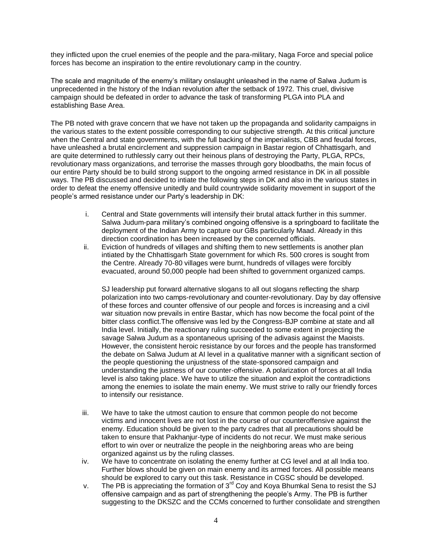they inflicted upon the cruel enemies of the people and the para-military, Naga Force and special police forces has become an inspiration to the entire revolutionary camp in the country.

The scale and magnitude of the enemy's military onslaught unleashed in the name of Salwa Judum is unprecedented in the history of the Indian revolution after the setback of 1972. This cruel, divisive campaign should be defeated in order to advance the task of transforming PLGA into PLA and establishing Base Area.

The PB noted with grave concern that we have not taken up the propaganda and solidarity campaigns in the various states to the extent possible corresponding to our subjective strength. At this critical juncture when the Central and state governments, with the full backing of the imperialists, CBB and feudal forces, have unleashed a brutal encirclement and suppression campaign in Bastar region of Chhattisgarh, and are quite determined to ruthlessly carry out their heinous plans of destroying the Party, PLGA, RPCs, revolutionary mass organizations, and terrorise the masses through gory bloodbaths, the main focus of our entire Party should be to build strong support to the ongoing armed resistance in DK in all possible ways. The PB discussed and decided to intiate the following steps in DK and also in the various states in order to defeat the enemy offensive unitedly and build countrywide solidarity movement in support of the people's armed resistance under our Party's leadership in DK:

- i. Central and State governments will intensify their brutal attack further in this summer. Salwa Judum-para military's combined ongoing offensive is a springboard to facilitate the deployment of the Indian Army to capture our GBs particularly Maad. Already in this direction coordination has been increased by the concerned officials.
- ii. Eviction of hundreds of villages and shifting them to new settlements is another plan intiated by the Chhattisgarh State government for which Rs. 500 crores is sought from the Centre. Already 70-80 villages were burnt, hundreds of villages were forcibly evacuated, around 50,000 people had been shifted to government organized camps.

SJ leadership put forward alternative slogans to all out slogans reflecting the sharp polarization into two camps-revolutionary and counter-revolutionary. Day by day offensive of these forces and counter offensive of our people and forces is increasing and a civil war situation now prevails in entire Bastar, which has now become the focal point of the bitter class conflict.The offensive was led by the Congress-BJP combine at state and all India level. Initially, the reactionary ruling succeeded to some extent in projecting the savage Salwa Judum as a spontaneous uprising of the adivasis against the Maoists. However, the consistent heroic resistance by our forces and the people has transformed the debate on Salwa Judum at AI level in a qualitative manner with a significant section of the people questioning the unjustness of the state-sponsored campaign and understanding the justness of our counter-offensive. A polarization of forces at all India level is also taking place. We have to utilize the situation and exploit the contradictions among the enemies to isolate the main enemy. We must strive to rally our friendly forces to intensify our resistance.

- iii. We have to take the utmost caution to ensure that common people do not become victims and innocent lives are not lost in the course of our counteroffensive against the enemy. Education should be given to the party cadres that all precautions should be taken to ensure that Pakhanjur-type of incidents do not recur. We must make serious effort to win over or neutralize the people in the neighboring areas who are being organized against us by the ruling classes.
- iv. We have to concentrate on isolating the enemy further at CG level and at all India too. Further blows should be given on main enemy and its armed forces. All possible means should be explored to carry out this task. Resistance in CGSC should be developed.
- v. The PB is appreciating the formation of  $3<sup>rd</sup>$  Coy and Koya Bhumkal Sena to resist the SJ offensive campaign and as part of strengthening the people's Army. The PB is further suggesting to the DKSZC and the CCMs concerned to further consolidate and strengthen